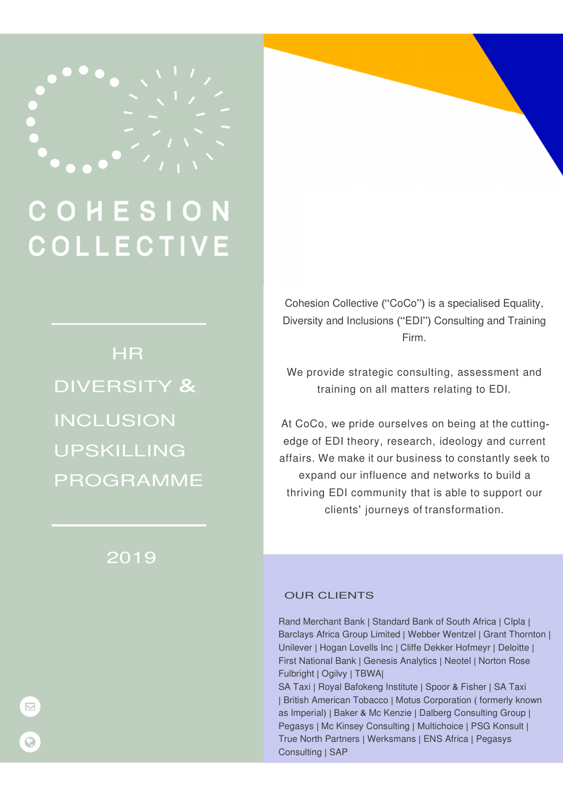

# COHESI **COLLECTIVE**

**HR** DIVERSITY & INCLUSION UPSKILLING PROGRAMME

## 2019

Cohesion Collective ("CoCo") is a specialised Equality, Diversity and Inclusions ("EDI") Consulting and Training Firm.

We provide strategic consulting, assessment and training on all matters relating to EDI.

At CoCo, we pride ourselves on being at the cuttingedge of EDI theory, research, ideology and current affairs. We make it our business to constantly seek to expand our influence and networks to build a thriving EDI community that is able to support our clients' journeys of transformation.

#### OUR CLIENTS

Rand Merchant Bank | Standard Bank of South Africa | CIpla | Barclays Africa Group Limited | Webber Wentzel | Grant Thornton | Unilever | Hogan Lovells Inc | Cliffe Dekker Hofmeyr | Deloitte | First National Bank | Genesis Analytics | Neotel | Norton Rose Fulbright | Ogilvy | TBWA|

SA Taxi | Royal Bafokeng Institute | Spoor & Fisher | SA Taxi | British American Tobacco | Motus Corporation ( formerly known as Imperial) | Baker & Mc Kenzie | Dalberg Consulting Group | Pegasys | Mc Kinsey Consulting | Multichoice | PSG Konsult | True North Partners | Werksmans | ENS Africa | Pegasys Consulting | SAP